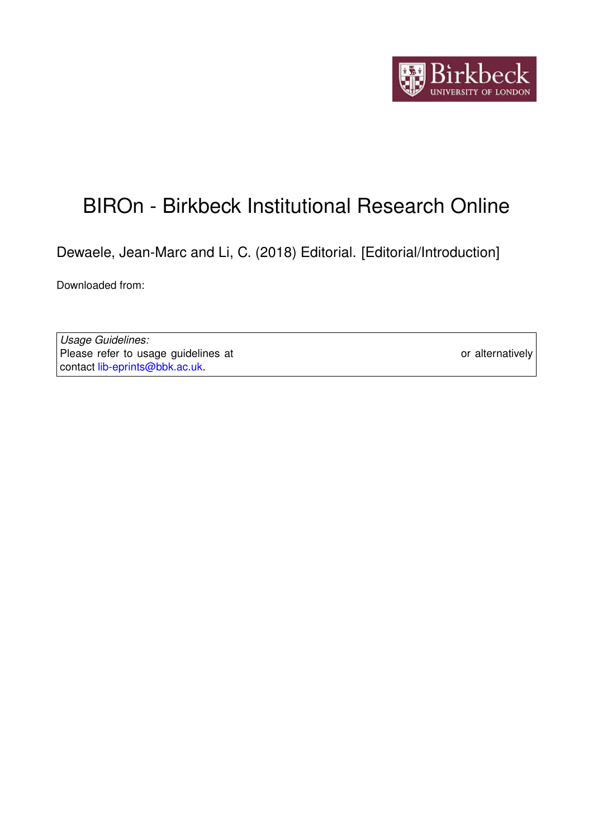

## BIROn - Birkbeck Institutional Research Online

Dewaele, Jean-Marc and Li, C. (2018) Editorial. [Editorial/Introduction]

Downloaded from: <https://eprints.bbk.ac.uk/id/eprint/25473/>

*Usage Guidelines:* Please refer to usage guidelines at <https://eprints.bbk.ac.uk/policies.html> or alternatively contact [lib-eprints@bbk.ac.uk.](mailto:lib-eprints@bbk.ac.uk)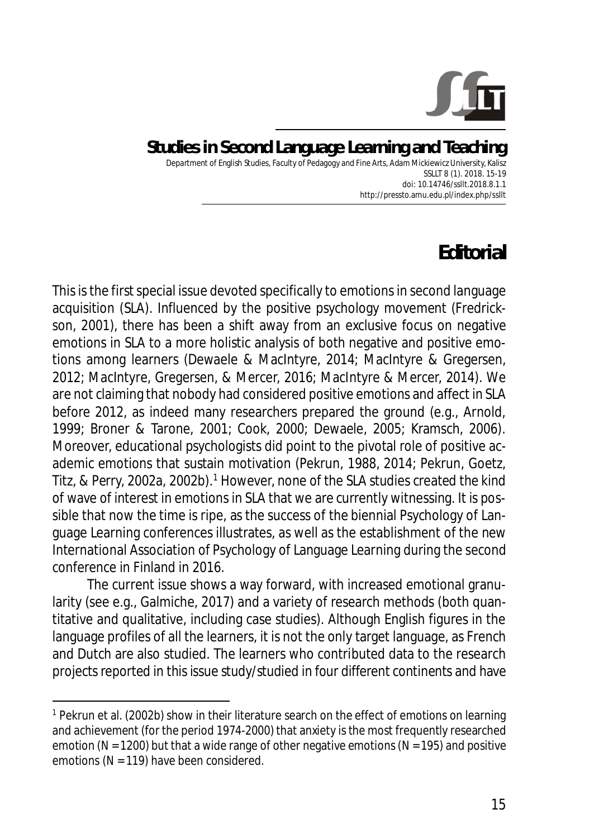

## **Studies in Second Language Learning and Teaching** Department of English Studies, Faculty of Pedagogy and Fine Arts, Adam Mickiewicz University, Kalisz

SSLLT 8 (1). 2018. 15-19 *doi: 10.14746/ssllt.2018.8.1.1* http://pressto.amu.edu.pl/index.php/ssllt

## **Editorial**

This is the first special issue devoted specifically to emotions in second language acquisition (SLA). Influenced by the positive psychology movement (Fredrickson, 2001), there has been a shift away from an exclusive focus on negative emotions in SLA to a more holistic analysis of both negative and positive emotions among learners (Dewaele & MacIntyre, 2014; MacIntyre & Gregersen, 2012; MacIntyre, Gregersen, & Mercer, 2016; MacIntyre & Mercer, 2014). We are not claiming that nobody had considered positive emotions and affect in SLA before 2012, as indeed many researchers prepared the ground (e.g., Arnold, 1999; Broner & Tarone, 2001; Cook, 2000; Dewaele, 2005; Kramsch, 2006). Moreover, educational psychologists did point to the pivotal role of positive academic emotions that sustain motivation (Pekrun, 1988, 2014; Pekrun, Goetz, Titz, & Perry, 2002a, 2002b).<sup>1</sup> However, none of the SLA studies created the kind of wave of interest in emotions in SLA that we are currently witnessing. It is possible that now the time is ripe, as the success of the biennial Psychology of Language Learning conferences illustrates, as well as the establishment of the new International Association of Psychology of Language Learning during the second conference in Finland in 2016.

The current issue shows a way forward, with increased emotional granularity (see e.g., Galmiche, 2017) and a variety of research methods (both quantitative and qualitative, including case studies). Although English figures in the language profiles of all the learners, it is not the only target language, as French and Dutch are also studied. The learners who contributed data to the research projects reported in this issue study/studied in four different continents and have

<sup>&</sup>lt;sup>1</sup> Pekrun et al. (2002b) show in their literature search on the effect of emotions on learning and achievement (for the period 1974-2000) that anxiety is the most frequently researched emotion (*N* = 1200) but that a wide range of other negative emotions (*N* = 195) and positive emotions (*N* = 119) have been considered.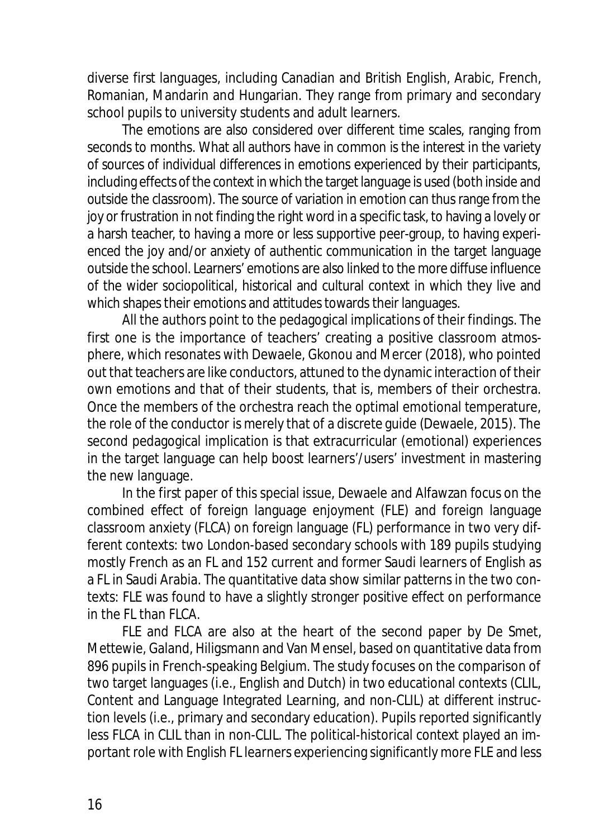diverse first languages, including Canadian and British English, Arabic, French, Romanian, Mandarin and Hungarian. They range from primary and secondary school pupils to university students and adult learners.

The emotions are also considered over different time scales, ranging from seconds to months. What all authors have in common is the interest in the variety of sources of individual differences in emotions experienced by their participants, including effects of the context in which the target language is used (both inside and outside the classroom). The source of variation in emotion can thus range from the joy or frustration in not finding the right word in a specific task, to having a lovely or a harsh teacher, to having a more or less supportive peer-group, to having experienced the joy and/or anxiety of authentic communication in the target language outside the school. Learners' emotions are also linked to the more diffuse influence of the wider sociopolitical, historical and cultural context in which they live and which shapes their emotions and attitudes towards their languages.

All the authors point to the pedagogical implications of their findings. The first one is the importance of teachers' creating a positive classroom atmosphere, which resonates with Dewaele, Gkonou and Mercer (2018), who pointed out that teachers are like conductors, attuned to the dynamic interaction of their own emotions and that of their students, that is, members of their orchestra. Once the members of the orchestra reach the optimal emotional temperature, the role of the conductor is merely that of a discrete guide (Dewaele, 2015). The second pedagogical implication is that extracurricular (emotional) experiences in the target language can help boost learners'/users' investment in mastering the new language.

In the first paper of this special issue, Dewaele and Alfawzan focus on the combined effect of foreign language enjoyment (FLE) and foreign language classroom anxiety (FLCA) on foreign language (FL) performance in two very different contexts: two London-based secondary schools with 189 pupils studying mostly French as an FL and 152 current and former Saudi learners of English as a FL in Saudi Arabia. The quantitative data show similar patterns in the two contexts: FLE was found to have a slightly stronger positive effect on performance in the FL than FLCA.

FLE and FLCA are also at the heart of the second paper by De Smet, Mettewie, Galand, Hiligsmann and Van Mensel, based on quantitative data from 896 pupils in French-speaking Belgium. The study focuses on the comparison of two target languages (i.e., English and Dutch) in two educational contexts (CLIL, Content and Language Integrated Learning, and non-CLIL) at different instruction levels (i.e., primary and secondary education). Pupils reported significantly less FLCA in CLIL than in non-CLIL. The political-historical context played an important role with English FL learners experiencing significantly more FLE and less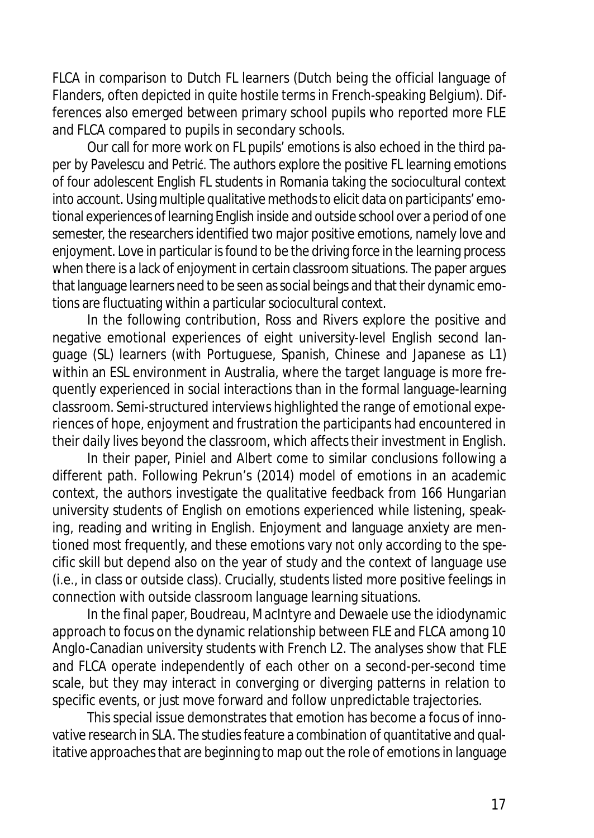FLCA in comparison to Dutch FL learners (Dutch being the official language of Flanders, often depicted in quite hostile terms in French-speaking Belgium). Differences also emerged between primary school pupils who reported more FLE and FLCA compared to pupils in secondary schools.

Our call for more work on FL pupils' emotions is also echoed in the third paper by Pavelescu and Petrić. The authors explore the positive FL learning emotions of four adolescent English FL students in Romania taking the sociocultural context into account. Using multiple qualitative methods to elicit data on participants' emotional experiences of learning English inside and outside school over a period of one semester, the researchers identified two major positive emotions, namely love and enjoyment. Love in particular is found to be the driving force in the learning process when there is a lack of enjoyment in certain classroom situations. The paper argues that language learners need to be seen as social beings and that their dynamic emotions are fluctuating within a particular sociocultural context.

In the following contribution, Ross and Rivers explore the positive and negative emotional experiences of eight university-level English second language (SL) learners (with Portuguese, Spanish, Chinese and Japanese as L1) within an ESL environment in Australia, where the target language is more frequently experienced in social interactions than in the formal language-learning classroom. Semi-structured interviews highlighted the range of emotional experiences of hope, enjoyment and frustration the participants had encountered in their daily lives beyond the classroom, which affects their investment in English.

In their paper, Piniel and Albert come to similar conclusions following a different path. Following Pekrun's (2014) model of emotions in an academic context, the authors investigate the qualitative feedback from 166 Hungarian university students of English on emotions experienced while listening, speaking, reading and writing in English. Enjoyment and language anxiety are mentioned most frequently, and these emotions vary not only according to the specific skill but depend also on the year of study and the context of language use (i.e., in class or outside class). Crucially, students listed more positive feelings in connection with outside classroom language learning situations.

In the final paper, Boudreau, MacIntyre and Dewaele use the idiodynamic approach to focus on the dynamic relationship between FLE and FLCA among 10 Anglo-Canadian university students with French L2. The analyses show that FLE and FLCA operate independently of each other on a second-per-second time scale, but they may interact in converging or diverging patterns in relation to specific events, or just move forward and follow unpredictable trajectories.

This special issue demonstrates that emotion has become a focus of innovative research in SLA. The studies feature a combination of quantitative and qualitative approaches that are beginning to map out the role of emotions in language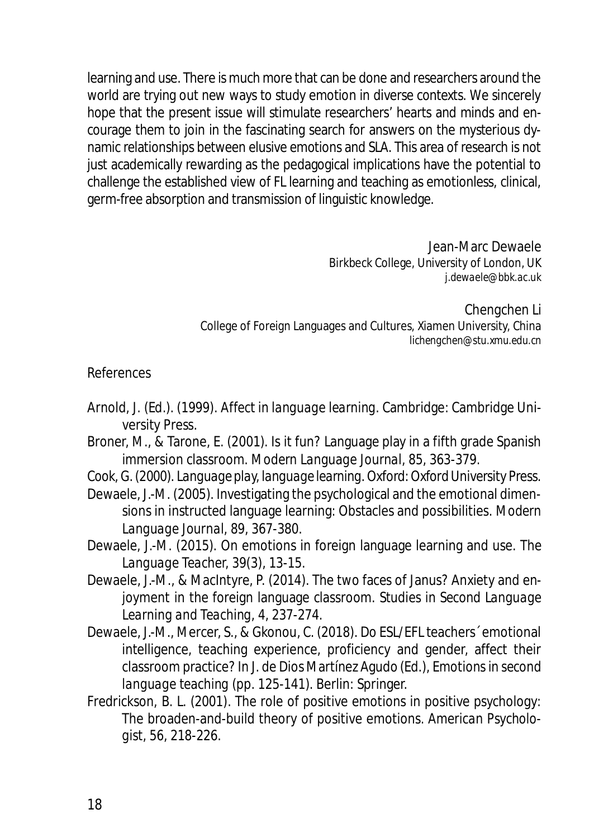learning and use. There is much more that can be done and researchers around the world are trying out new ways to study emotion in diverse contexts. We sincerely hope that the present issue will stimulate researchers' hearts and minds and encourage them to join in the fascinating search for answers on the mysterious dynamic relationships between elusive emotions and SLA. This area of research is not just academically rewarding as the pedagogical implications have the potential to challenge the established view of FL learning and teaching as emotionless, clinical, germ-free absorption and transmission of linguistic knowledge.

> Jean-Marc Dewaele Birkbeck College, University of London, UK *j.dewaele@bbk.ac.uk*

Chengchen Li College of Foreign Languages and Cultures, Xiamen University, China *lichengchen@stu.xmu.edu.cn*

## References

- Arnold, J. (Ed.). (1999). *Affect in language learning.* Cambridge: Cambridge University Press.
- Broner, M., & Tarone, E. (2001). Is it fun? Language play in a fifth grade Spanish immersion classroom. *Modern Language Journal, 85*, 363-379.
- Cook, G. (2000). *Language play, language learning*. Oxford: Oxford University Press.
- Dewaele, J.-M. (2005). Investigating the psychological and the emotional dimensions in instructed language learning: Obstacles and possibilities. *Modern Language Journal, 89*, 367-380.
- Dewaele, J.-M. (2015). On emotions in foreign language learning and use. *The Language Teacher, 39*(3), 13-15.
- Dewaele, J.-M., & MacIntyre, P. (2014). The two faces of Janus? Anxiety and enjoyment in the foreign language classroom. *Studies in Second Language Learning and Teaching*, *4*, 237-274.
- Dewaele, J.-M., Mercer, S., & Gkonou, C. (2018). Do ESL/EFL teachers´ emotional intelligence, teaching experience, proficiency and gender, affect their classroom practice? In J. de Dios Martínez Agudo (Ed.), *Emotions in second language teaching* (pp. 125-141). Berlin: Springer.
- Fredrickson, B. L. (2001). The role of positive emotions in positive psychology: The broaden-and-build theory of positive emotions. *American Psychologist, 56*, 218-226.